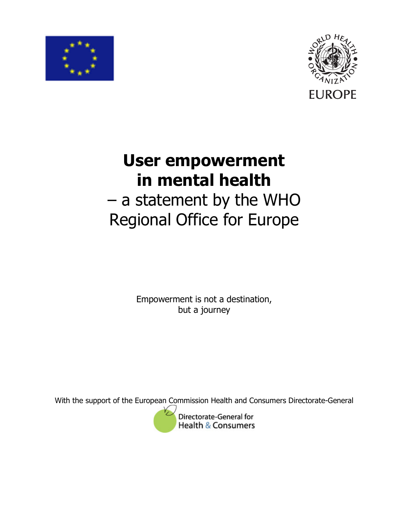



# User empowerment in mental health

# – a statement by the WHO Regional Office for Europe

Empowerment is not a destination, but a journey

With the support of the European Commission Health and Consumers Directorate-General

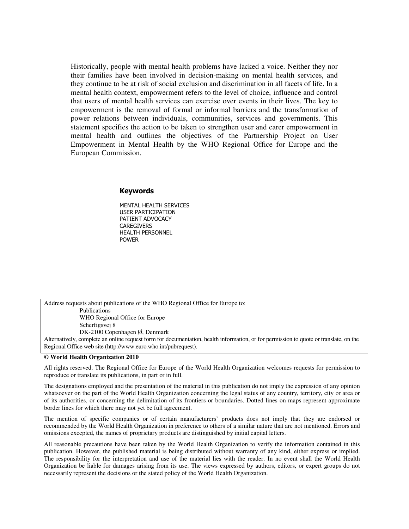Historically, people with mental health problems have lacked a voice. Neither they nor their families have been involved in decision-making on mental health services, and they continue to be at risk of social exclusion and discrimination in all facets of life. In a mental health context, empowerment refers to the level of choice, influence and control that users of mental health services can exercise over events in their lives. The key to empowerment is the removal of formal or informal barriers and the transformation of power relations between individuals, communities, services and governments. This statement specifies the action to be taken to strengthen user and carer empowerment in mental health and outlines the objectives of the Partnership Project on User Empowerment in Mental Health by the WHO Regional Office for Europe and the European Commission.

#### Keywords

MENTAL HEALTH SERVICES USER PARTICIPATION PATIENT ADVOCACY CAREGIVERS HEALTH PERSONNEL POWER

Address requests about publications of the WHO Regional Office for Europe to: Publications WHO Regional Office for Europe Scherfigsvej 8 DK-2100 Copenhagen Ø, Denmark Alternatively, complete an online request form for documentation, health information, or for permission to quote or translate, on the Regional Office web site (http://www.euro.who.int/pubrequest).

#### **© World Health Organization 2010**

All rights reserved. The Regional Office for Europe of the World Health Organization welcomes requests for permission to reproduce or translate its publications, in part or in full.

The designations employed and the presentation of the material in this publication do not imply the expression of any opinion whatsoever on the part of the World Health Organization concerning the legal status of any country, territory, city or area or of its authorities, or concerning the delimitation of its frontiers or boundaries. Dotted lines on maps represent approximate border lines for which there may not yet be full agreement.

The mention of specific companies or of certain manufacturers' products does not imply that they are endorsed or recommended by the World Health Organization in preference to others of a similar nature that are not mentioned. Errors and omissions excepted, the names of proprietary products are distinguished by initial capital letters.

All reasonable precautions have been taken by the World Health Organization to verify the information contained in this publication. However, the published material is being distributed without warranty of any kind, either express or implied. The responsibility for the interpretation and use of the material lies with the reader. In no event shall the World Health Organization be liable for damages arising from its use. The views expressed by authors, editors, or expert groups do not necessarily represent the decisions or the stated policy of the World Health Organization.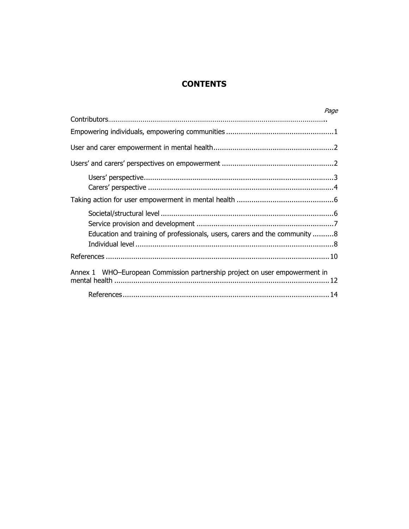# **CONTENTS**

| Page                                                                       |  |
|----------------------------------------------------------------------------|--|
|                                                                            |  |
|                                                                            |  |
|                                                                            |  |
|                                                                            |  |
|                                                                            |  |
|                                                                            |  |
|                                                                            |  |
|                                                                            |  |
|                                                                            |  |
| Education and training of professionals, users, carers and the community 8 |  |
|                                                                            |  |
|                                                                            |  |
| Annex 1 WHO-European Commission partnership project on user empowerment in |  |
|                                                                            |  |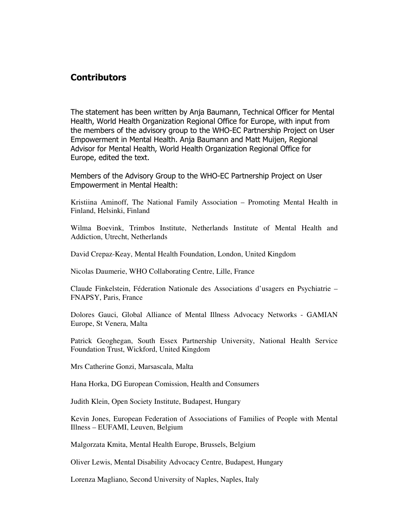## **Contributors**

The statement has been written by Anja Baumann, Technical Officer for Mental Health, World Health Organization Regional Office for Europe, with input from the members of the advisory group to the WHO-EC Partnership Project on User Empowerment in Mental Health. Anja Baumann and Matt Muijen, Regional Advisor for Mental Health, World Health Organization Regional Office for Europe, edited the text.

Members of the Advisory Group to the WHO-EC Partnership Project on User Empowerment in Mental Health:

Kristiina Aminoff, The National Family Association – Promoting Mental Health in Finland, Helsinki, Finland

Wilma Boevink, Trimbos Institute, Netherlands Institute of Mental Health and Addiction, Utrecht, Netherlands

David Crepaz-Keay, Mental Health Foundation, London, United Kingdom

Nicolas Daumerie, WHO Collaborating Centre, Lille, France

Claude Finkelstein, Féderation Nationale des Associations d'usagers en Psychiatrie – FNAPSY, Paris, France

Dolores Gauci, Global Alliance of Mental Illness Advocacy Networks - GAMIAN Europe, St Venera, Malta

Patrick Geoghegan, South Essex Partnership University, National Health Service Foundation Trust, Wickford, United Kingdom

Mrs Catherine Gonzi, Marsascala, Malta

Hana Horka, DG European Comission, Health and Consumers

Judith Klein, Open Society Institute, Budapest, Hungary

Kevin Jones, European Federation of Associations of Families of People with Mental Illness – EUFAMI, Leuven, Belgium

Malgorzata Kmita, Mental Health Europe, Brussels, Belgium

Oliver Lewis, Mental Disability Advocacy Centre, Budapest, Hungary

Lorenza Magliano, Second University of Naples, Naples, Italy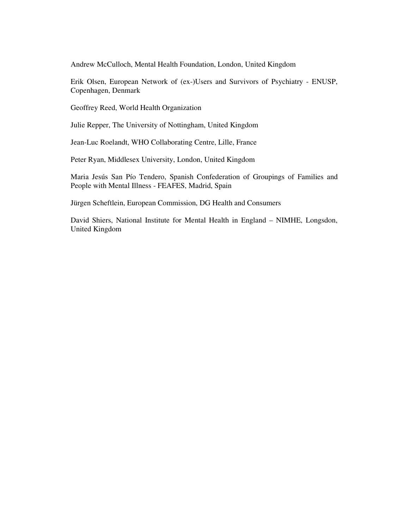Andrew McCulloch, Mental Health Foundation, London, United Kingdom

Erik Olsen, European Network of (ex-)Users and Survivors of Psychiatry - ENUSP, Copenhagen, Denmark

Geoffrey Reed, World Health Organization

Julie Repper, The University of Nottingham, United Kingdom

Jean-Luc Roelandt, WHO Collaborating Centre, Lille, France

Peter Ryan, Middlesex University, London, United Kingdom

Maria Jesús San Pío Tendero, Spanish Confederation of Groupings of Families and People with Mental Illness - FEAFES, Madrid, Spain

Jürgen Scheftlein, European Commission, DG Health and Consumers

David Shiers, National Institute for Mental Health in England – NIMHE, Longsdon, United Kingdom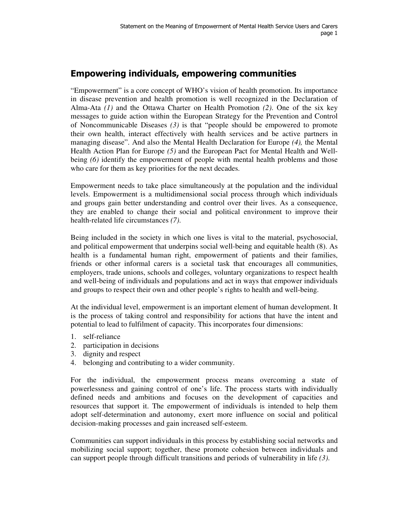# Empowering individuals, empowering communities

"Empowerment" is a core concept of WHO's vision of health promotion. Its importance in disease prevention and health promotion is well recognized in the Declaration of Alma-Ata *(1)* and the Ottawa Charter on Health Promotion *(2)*. One of the six key messages to guide action within the European Strategy for the Prevention and Control of Noncommunicable Diseases *(3)* is that "people should be empowered to promote their own health, interact effectively with health services and be active partners in managing disease". And also the Mental Health Declaration for Europe *(4),* the Mental Health Action Plan for Europe *(5)* and the European Pact for Mental Health and Wellbeing *(6)* identify the empowerment of people with mental health problems and those who care for them as key priorities for the next decades.

Empowerment needs to take place simultaneously at the population and the individual levels. Empowerment is a multidimensional social process through which individuals and groups gain better understanding and control over their lives. As a consequence, they are enabled to change their social and political environment to improve their health-related life circumstances *(7)*.

Being included in the society in which one lives is vital to the material, psychosocial, and political empowerment that underpins social well-being and equitable health (8). As health is a fundamental human right, empowerment of patients and their families, friends or other informal carers is a societal task that encourages all communities, employers, trade unions, schools and colleges, voluntary organizations to respect health and well-being of individuals and populations and act in ways that empower individuals and groups to respect their own and other people's rights to health and well-being.

At the individual level, empowerment is an important element of human development. It is the process of taking control and responsibility for actions that have the intent and potential to lead to fulfilment of capacity. This incorporates four dimensions:

- 1. self-reliance
- 2. participation in decisions
- 3. dignity and respect
- 4. belonging and contributing to a wider community.

For the individual, the empowerment process means overcoming a state of powerlessness and gaining control of one's life. The process starts with individually defined needs and ambitions and focuses on the development of capacities and resources that support it. The empowerment of individuals is intended to help them adopt self-determination and autonomy, exert more influence on social and political decision-making processes and gain increased self-esteem.

Communities can support individuals in this process by establishing social networks and mobilizing social support; together, these promote cohesion between individuals and can support people through difficult transitions and periods of vulnerability in life *(3)*.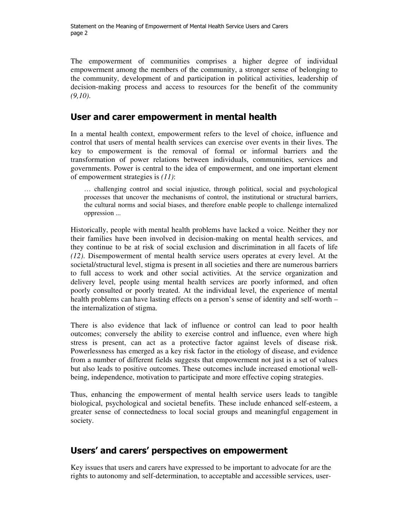The empowerment of communities comprises a higher degree of individual empowerment among the members of the community, a stronger sense of belonging to the community, development of and participation in political activities, leadership of decision-making process and access to resources for the benefit of the community *(9,10)*.

## User and carer empowerment in mental health

In a mental health context, empowerment refers to the level of choice, influence and control that users of mental health services can exercise over events in their lives. The key to empowerment is the removal of formal or informal barriers and the transformation of power relations between individuals, communities, services and governments. Power is central to the idea of empowerment, and one important element of empowerment strategies is *(11)*:

… challenging control and social injustice, through political, social and psychological processes that uncover the mechanisms of control, the institutional or structural barriers, the cultural norms and social biases, and therefore enable people to challenge internalized oppression ...

Historically, people with mental health problems have lacked a voice. Neither they nor their families have been involved in decision-making on mental health services, and they continue to be at risk of social exclusion and discrimination in all facets of life *(12)*. Disempowerment of mental health service users operates at every level. At the societal/structural level, stigma is present in all societies and there are numerous barriers to full access to work and other social activities. At the service organization and delivery level, people using mental health services are poorly informed, and often poorly consulted or poorly treated. At the individual level, the experience of mental health problems can have lasting effects on a person's sense of identity and self-worth – the internalization of stigma.

There is also evidence that lack of influence or control can lead to poor health outcomes; conversely the ability to exercise control and influence, even where high stress is present, can act as a protective factor against levels of disease risk. Powerlessness has emerged as a key risk factor in the etiology of disease, and evidence from a number of different fields suggests that empowerment not just is a set of values but also leads to positive outcomes. These outcomes include increased emotional wellbeing, independence, motivation to participate and more effective coping strategies.

Thus, enhancing the empowerment of mental health service users leads to tangible biological, psychological and societal benefits. These include enhanced self-esteem, a greater sense of connectedness to local social groups and meaningful engagement in society.

# Users' and carers' perspectives on empowerment

Key issues that users and carers have expressed to be important to advocate for are the rights to autonomy and self-determination, to acceptable and accessible services, user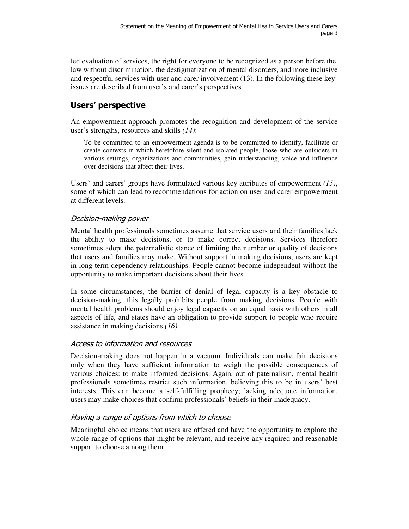led evaluation of services, the right for everyone to be recognized as a person before the law without discrimination, the destigmatization of mental disorders, and more inclusive and respectful services with user and carer involvement (13). In the following these key issues are described from user's and carer's perspectives.

# Users' perspective

An empowerment approach promotes the recognition and development of the service user's strengths, resources and skills *(14)*:

To be committed to an empowerment agenda is to be committed to identify, facilitate or create contexts in which heretofore silent and isolated people, those who are outsiders in various settings, organizations and communities, gain understanding, voice and influence over decisions that affect their lives.

Users' and carers' groups have formulated various key attributes of empowerment *(15)*, some of which can lead to recommendations for action on user and carer empowerment at different levels.

## Decision-making power

Mental health professionals sometimes assume that service users and their families lack the ability to make decisions, or to make correct decisions. Services therefore sometimes adopt the paternalistic stance of limiting the number or quality of decisions that users and families may make. Without support in making decisions, users are kept in long-term dependency relationships. People cannot become independent without the opportunity to make important decisions about their lives.

In some circumstances, the barrier of denial of legal capacity is a key obstacle to decision-making: this legally prohibits people from making decisions. People with mental health problems should enjoy legal capacity on an equal basis with others in all aspects of life, and states have an obligation to provide support to people who require assistance in making decisions *(16)*.

## Access to information and resources

Decision-making does not happen in a vacuum. Individuals can make fair decisions only when they have sufficient information to weigh the possible consequences of various choices: to make informed decisions. Again, out of paternalism, mental health professionals sometimes restrict such information, believing this to be in users' best interests. This can become a self-fulfilling prophecy; lacking adequate information, users may make choices that confirm professionals' beliefs in their inadequacy.

## Having a range of options from which to choose

Meaningful choice means that users are offered and have the opportunity to explore the whole range of options that might be relevant, and receive any required and reasonable support to choose among them.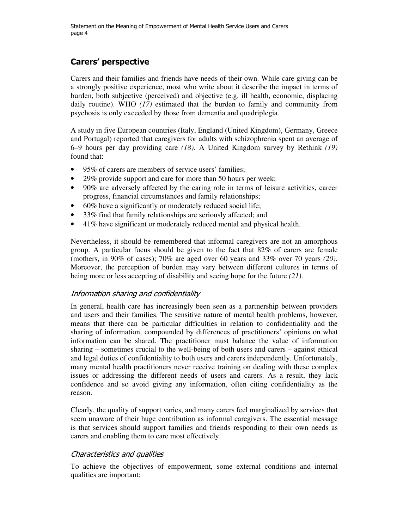# Carers' perspective

Carers and their families and friends have needs of their own. While care giving can be a strongly positive experience, most who write about it describe the impact in terms of burden, both subjective (perceived) and objective (e.g. ill health, economic, displacing daily routine). WHO *(17)* estimated that the burden to family and community from psychosis is only exceeded by those from dementia and quadriplegia.

A study in five European countries (Italy, England (United Kingdom), Germany, Greece and Portugal) reported that caregivers for adults with schizophrenia spent an average of 6–9 hours per day providing care *(18)*. A United Kingdom survey by Rethink *(19)* found that:

- 95% of carers are members of service users' families;
- 29% provide support and care for more than 50 hours per week;
- 90% are adversely affected by the caring role in terms of leisure activities, career progress, financial circumstances and family relationships;
- 60% have a significantly or moderately reduced social life;
- 33% find that family relationships are seriously affected; and
- 41% have significant or moderately reduced mental and physical health.

Nevertheless, it should be remembered that informal caregivers are not an amorphous group. A particular focus should be given to the fact that 82% of carers are female (mothers, in 90% of cases); 70% are aged over 60 years and 33% over 70 years *(20)*. Moreover, the perception of burden may vary between different cultures in terms of being more or less accepting of disability and seeing hope for the future *(21)*.

## Information sharing and confidentiality

In general, health care has increasingly been seen as a partnership between providers and users and their families. The sensitive nature of mental health problems, however, means that there can be particular difficulties in relation to confidentiality and the sharing of information, compounded by differences of practitioners' opinions on what information can be shared. The practitioner must balance the value of information sharing – sometimes crucial to the well-being of both users and carers – against ethical and legal duties of confidentiality to both users and carers independently. Unfortunately, many mental health practitioners never receive training on dealing with these complex issues or addressing the different needs of users and carers. As a result, they lack confidence and so avoid giving any information, often citing confidentiality as the reason.

Clearly, the quality of support varies, and many carers feel marginalized by services that seem unaware of their huge contribution as informal caregivers. The essential message is that services should support families and friends responding to their own needs as carers and enabling them to care most effectively.

#### Characteristics and qualities

To achieve the objectives of empowerment, some external conditions and internal qualities are important: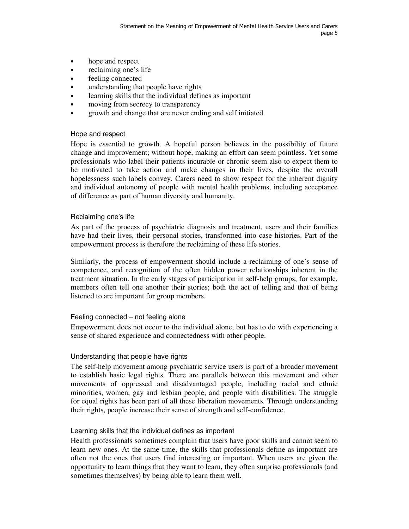- hope and respect
- reclaiming one's life
- feeling connected
- understanding that people have rights
- learning skills that the individual defines as important
- moving from secrecy to transparency
- growth and change that are never ending and self initiated.

#### Hope and respect

Hope is essential to growth. A hopeful person believes in the possibility of future change and improvement; without hope, making an effort can seem pointless. Yet some professionals who label their patients incurable or chronic seem also to expect them to be motivated to take action and make changes in their lives, despite the overall hopelessness such labels convey. Carers need to show respect for the inherent dignity and individual autonomy of people with mental health problems, including acceptance of difference as part of human diversity and humanity.

#### Reclaiming one's life

As part of the process of psychiatric diagnosis and treatment, users and their families have had their lives, their personal stories, transformed into case histories. Part of the empowerment process is therefore the reclaiming of these life stories.

Similarly, the process of empowerment should include a reclaiming of one's sense of competence, and recognition of the often hidden power relationships inherent in the treatment situation. In the early stages of participation in self-help groups, for example, members often tell one another their stories; both the act of telling and that of being listened to are important for group members.

#### Feeling connected – not feeling alone

Empowerment does not occur to the individual alone, but has to do with experiencing a sense of shared experience and connectedness with other people.

#### Understanding that people have rights

The self-help movement among psychiatric service users is part of a broader movement to establish basic legal rights. There are parallels between this movement and other movements of oppressed and disadvantaged people, including racial and ethnic minorities, women, gay and lesbian people, and people with disabilities. The struggle for equal rights has been part of all these liberation movements. Through understanding their rights, people increase their sense of strength and self-confidence.

#### Learning skills that the individual defines as important

Health professionals sometimes complain that users have poor skills and cannot seem to learn new ones. At the same time, the skills that professionals define as important are often not the ones that users find interesting or important. When users are given the opportunity to learn things that they want to learn, they often surprise professionals (and sometimes themselves) by being able to learn them well.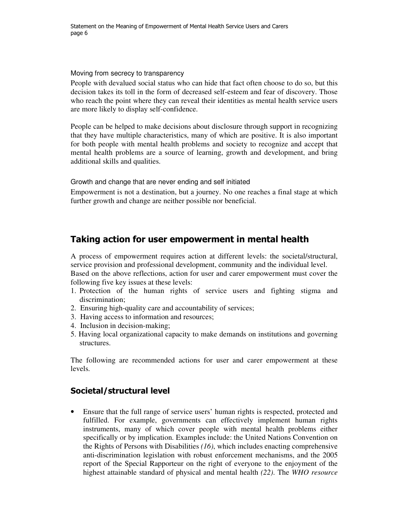Moving from secrecy to transparency

People with devalued social status who can hide that fact often choose to do so, but this decision takes its toll in the form of decreased self-esteem and fear of discovery. Those who reach the point where they can reveal their identities as mental health service users are more likely to display self-confidence.

People can be helped to make decisions about disclosure through support in recognizing that they have multiple characteristics, many of which are positive. It is also important for both people with mental health problems and society to recognize and accept that mental health problems are a source of learning, growth and development, and bring additional skills and qualities.

Growth and change that are never ending and self initiated

Empowerment is not a destination, but a journey. No one reaches a final stage at which further growth and change are neither possible nor beneficial.

# Taking action for user empowerment in mental health

A process of empowerment requires action at different levels: the societal/structural, service provision and professional development, community and the individual level. Based on the above reflections, action for user and carer empowerment must cover the

following five key issues at these levels:

- 1. Protection of the human rights of service users and fighting stigma and discrimination;
- 2. Ensuring high-quality care and accountability of services;
- 3. Having access to information and resources;
- 4. Inclusion in decision-making;
- 5. Having local organizational capacity to make demands on institutions and governing structures.

The following are recommended actions for user and carer empowerment at these levels.

## Societal/structural level

• Ensure that the full range of service users' human rights is respected, protected and fulfilled. For example, governments can effectively implement human rights instruments, many of which cover people with mental health problems either specifically or by implication. Examples include: the United Nations Convention on the Rights of Persons with Disabilities *(16)*, which includes enacting comprehensive anti-discrimination legislation with robust enforcement mechanisms, and the 2005 report of the Special Rapporteur on the right of everyone to the enjoyment of the highest attainable standard of physical and mental health *(22)*. The *WHO resource*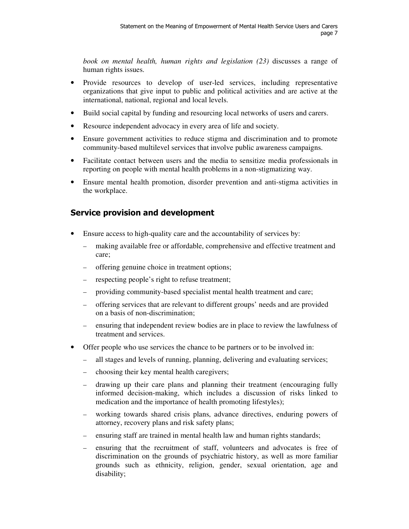*book on mental health, human rights and legislation (23)* discusses a range of human rights issues.

- Provide resources to develop of user-led services, including representative organizations that give input to public and political activities and are active at the international, national, regional and local levels.
- Build social capital by funding and resourcing local networks of users and carers.
- Resource independent advocacy in every area of life and society.
- Ensure government activities to reduce stigma and discrimination and to promote community-based multilevel services that involve public awareness campaigns.
- Facilitate contact between users and the media to sensitize media professionals in reporting on people with mental health problems in a non-stigmatizing way.
- Ensure mental health promotion, disorder prevention and anti-stigma activities in the workplace.

## Service provision and development

- Ensure access to high-quality care and the accountability of services by:
	- making available free or affordable, comprehensive and effective treatment and care;
	- offering genuine choice in treatment options;
	- respecting people's right to refuse treatment;
	- providing community-based specialist mental health treatment and care;
	- offering services that are relevant to different groups' needs and are provided on a basis of non-discrimination;
	- ensuring that independent review bodies are in place to review the lawfulness of treatment and services.
- Offer people who use services the chance to be partners or to be involved in:
	- all stages and levels of running, planning, delivering and evaluating services;
	- choosing their key mental health caregivers;
	- drawing up their care plans and planning their treatment (encouraging fully informed decision-making, which includes a discussion of risks linked to medication and the importance of health promoting lifestyles);
	- working towards shared crisis plans, advance directives, enduring powers of attorney, recovery plans and risk safety plans;
	- ensuring staff are trained in mental health law and human rights standards;
	- ensuring that the recruitment of staff, volunteers and advocates is free of discrimination on the grounds of psychiatric history, as well as more familiar grounds such as ethnicity, religion, gender, sexual orientation, age and disability;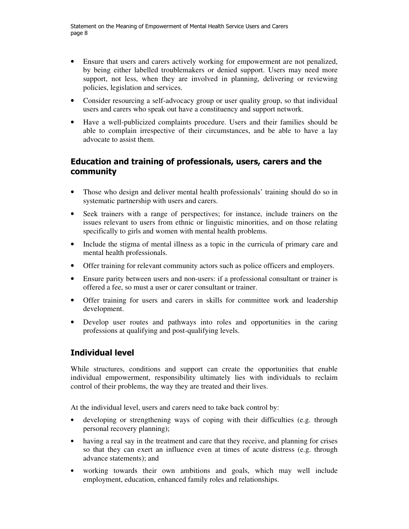- Ensure that users and carers actively working for empowerment are not penalized, by being either labelled troublemakers or denied support. Users may need more support, not less, when they are involved in planning, delivering or reviewing policies, legislation and services.
- Consider resourcing a self-advocacy group or user quality group, so that individual users and carers who speak out have a constituency and support network.
- Have a well-publicized complaints procedure. Users and their families should be able to complain irrespective of their circumstances, and be able to have a lay advocate to assist them.

## Education and training of professionals, users, carers and the community

- Those who design and deliver mental health professionals' training should do so in systematic partnership with users and carers.
- Seek trainers with a range of perspectives; for instance, include trainers on the issues relevant to users from ethnic or linguistic minorities, and on those relating specifically to girls and women with mental health problems.
- Include the stigma of mental illness as a topic in the curricula of primary care and mental health professionals.
- Offer training for relevant community actors such as police officers and employers.
- Ensure parity between users and non-users: if a professional consultant or trainer is offered a fee, so must a user or carer consultant or trainer.
- Offer training for users and carers in skills for committee work and leadership development.
- Develop user routes and pathways into roles and opportunities in the caring professions at qualifying and post-qualifying levels.

# Individual level

While structures, conditions and support can create the opportunities that enable individual empowerment, responsibility ultimately lies with individuals to reclaim control of their problems, the way they are treated and their lives.

At the individual level, users and carers need to take back control by:

- developing or strengthening ways of coping with their difficulties (e.g. through personal recovery planning);
- having a real say in the treatment and care that they receive, and planning for crises so that they can exert an influence even at times of acute distress (e.g. through advance statements); and
- working towards their own ambitions and goals, which may well include employment, education, enhanced family roles and relationships.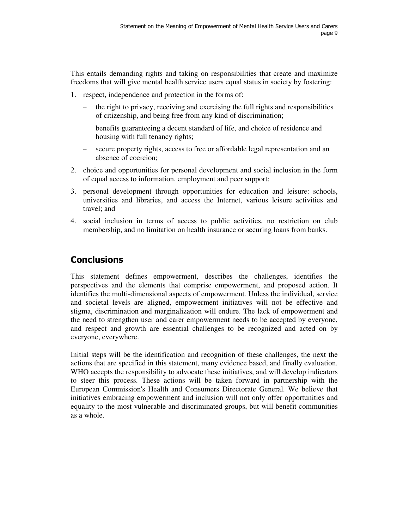This entails demanding rights and taking on responsibilities that create and maximize freedoms that will give mental health service users equal status in society by fostering:

- 1. respect, independence and protection in the forms of:
	- the right to privacy, receiving and exercising the full rights and responsibilities of citizenship, and being free from any kind of discrimination;
	- benefits guaranteeing a decent standard of life, and choice of residence and housing with full tenancy rights;
	- secure property rights, access to free or affordable legal representation and an absence of coercion;
- 2. choice and opportunities for personal development and social inclusion in the form of equal access to information, employment and peer support;
- 3. personal development through opportunities for education and leisure: schools, universities and libraries, and access the Internet, various leisure activities and travel; and
- 4. social inclusion in terms of access to public activities, no restriction on club membership, and no limitation on health insurance or securing loans from banks.

# **Conclusions**

This statement defines empowerment, describes the challenges, identifies the perspectives and the elements that comprise empowerment, and proposed action. It identifies the multi-dimensional aspects of empowerment. Unless the individual, service and societal levels are aligned, empowerment initiatives will not be effective and stigma, discrimination and marginalization will endure. The lack of empowerment and the need to strengthen user and carer empowerment needs to be accepted by everyone, and respect and growth are essential challenges to be recognized and acted on by everyone, everywhere.

Initial steps will be the identification and recognition of these challenges, the next the actions that are specified in this statement, many evidence based, and finally evaluation. WHO accepts the responsibility to advocate these initiatives, and will develop indicators to steer this process. These actions will be taken forward in partnership with the European Commission's Health and Consumers Directorate General. We believe that initiatives embracing empowerment and inclusion will not only offer opportunities and equality to the most vulnerable and discriminated groups, but will benefit communities as a whole.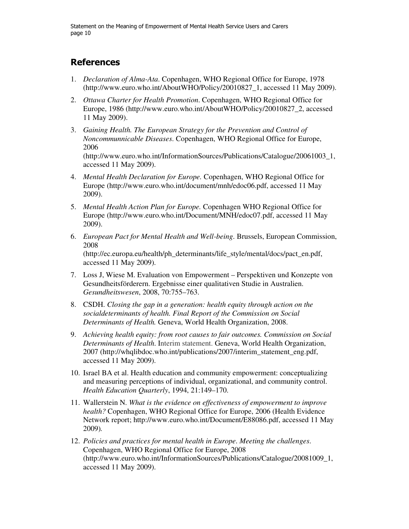# References

- 1. *Declaration of Alma-Ata*. Copenhagen, WHO Regional Office for Europe, 1978 (http://www.euro.who.int/AboutWHO/Policy/20010827\_1, accessed 11 May 2009).
- 2. *Ottawa Charter for Health Promotion*. Copenhagen, WHO Regional Office for Europe, 1986 (http://www.euro.who.int/AboutWHO/Policy/20010827\_2, accessed 11 May 2009).
- 3. *Gaining Health. The European Strategy for the Prevention and Control of Noncommunnicable Diseases*. Copenhagen, WHO Regional Office for Europe, 2006 (http://www.euro.who.int/InformationSources/Publications/Catalogue/20061003\_1,

accessed 11 May 2009).

- 4. *Mental Health Declaration for Europe.* Copenhagen, WHO Regional Office for Europe (http://www.euro.who.int/document/mnh/edoc06.pdf, accessed 11 May 2009).
- 5. *Mental Health Action Plan for Europe.* Copenhagen WHO Regional Office for Europe (http://www.euro.who.int/Document/MNH/edoc07.pdf, accessed 11 May 2009).
- 6. *European Pact for Mental Health and Well-being*. Brussels, European Commission, 2008 (http://ec.europa.eu/health/ph\_determinants/life\_style/mental/docs/pact\_en.pdf, accessed 11 May 2009).
- 7. Loss J, Wiese M. Evaluation von Empowerment Perspektiven und Konzepte von Gesundheitsförderern. Ergebnisse einer qualitativen Studie in Australien. *Gesundheitswesen*, 2008, 70:755–763.
- 8. CSDH. *Closing the gap in a generation: health equity through action on the socialdeterminants of health. Final Report of the Commission on Social Determinants of Health.* Geneva, World Health Organization, 2008.
- 9. *Achieving health equity: from root causes to fair outcomes. Commission on Social Determinants of Health*. Interim statement. Geneva, World Health Organization, 2007 (http://whqlibdoc.who.int/publications/2007/interim\_statement\_eng.pdf, accessed 11 May 2009).
- 10. Israel BA et al. Health education and community empowerment: conceptualizing and measuring perceptions of individual, organizational, and community control. *Health Education Quarterly*, 1994, 21:149–170.
- 11. Wallerstein N. *What is the evidence on effectiveness of empowerment to improve health?* Copenhagen, WHO Regional Office for Europe, 2006 (Health Evidence Network report; http://www.euro.who.int/Document/E88086.pdf, accessed 11 May 2009)*.*
- 12. *Policies and practices for mental health in Europe*. *Meeting the challenges*. Copenhagen, WHO Regional Office for Europe, 2008 (http://www.euro.who.int/InformationSources/Publications/Catalogue/20081009\_1, accessed 11 May 2009).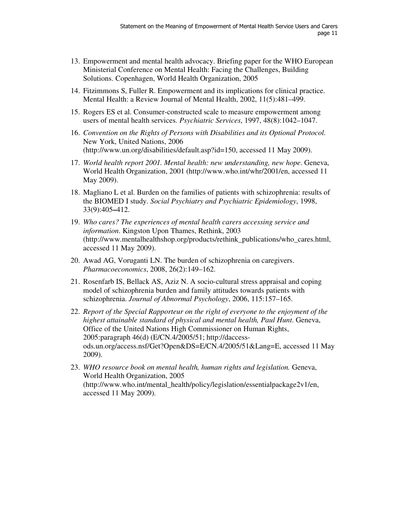- 13. Empowerment and mental health advocacy. Briefing paper for the WHO European Ministerial Conference on Mental Health: Facing the Challenges, Building Solutions. Copenhagen, World Health Organization, 2005
- 14. Fitzimmons S, Fuller R. Empowerment and its implications for clinical practice. Mental Health: a Review Journal of Mental Health, 2002, 11(5):481–499.
- 15. Rogers ES et al. Consumer-constructed scale to measure empowerment among users of mental health services. *Psychiatric Services*, 1997, 48(8):1042–1047.
- 16. *Convention on the Rights of Persons with Disabilities and its Optional Protocol.*  New York, United Nations, 2006 (http://www.un.org/disabilities/default.asp?id=150, accessed 11 May 2009).
- 17. *World health report 2001. Mental health: new understanding, new hope*. Geneva, World Health Organization, 2001 (http://www.who.int/whr/2001/en, accessed 11 May 2009).
- 18. Magliano L et al. Burden on the families of patients with schizophrenia: results of the BIOMED I study. *Social Psychiatry and Psychiatric Epidemiology*, 1998, 33(9):405**–**412.
- 19. *Who cares? The experiences of mental health carers accessing service and information*. Kingston Upon Thames, Rethink, 2003 (http://www.mentalhealthshop.org/products/rethink\_publications/who\_cares.html, accessed 11 May 2009).
- 20. Awad AG, Voruganti LN. The burden of schizophrenia on caregivers. *Pharmacoeconomics*, 2008, 26(2):149–162.
- 21. Rosenfarb IS, Bellack AS, Aziz N. A socio-cultural stress appraisal and coping model of schizophrenia burden and family attitudes towards patients with schizophrenia. *Journal of Abnormal Psychology*, 2006, 115:157–165.
- 22. *Report of the Special Rapporteur on the right of everyone to the enjoyment of the highest attainable standard of physical and mental health, Paul Hunt*. Geneva, Office of the United Nations High Commissioner on Human Rights, 2005:paragraph 46(d) (E/CN.4/2005/51; http://daccessods.un.org/access.nsf/Get?Open&DS=E/CN.4/2005/51&Lang=E, accessed 11 May 2009).
- 23. *WHO resource book on mental health, human rights and legislation.* Geneva, World Health Organization, 2005 (http://www.who.int/mental\_health/policy/legislation/essentialpackage2v1/en, accessed 11 May 2009).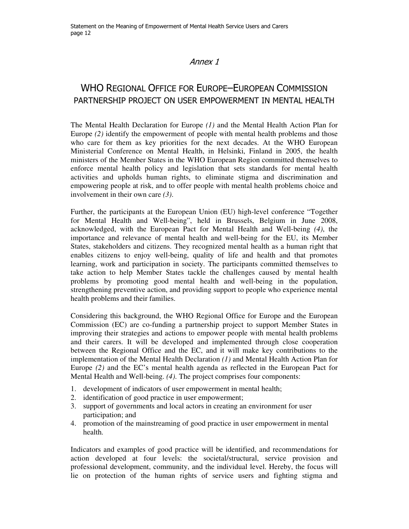## Annex 1

# WHO REGIONAL OFFICE FOR EUROPE–EUROPEAN COMMISSION PARTNERSHIP PROJECT ON USER EMPOWERMENT IN MENTAL HEALTH

The Mental Health Declaration for Europe *(1)* and the Mental Health Action Plan for Europe *(2)* identify the empowerment of people with mental health problems and those who care for them as key priorities for the next decades. At the WHO European Ministerial Conference on Mental Health, in Helsinki, Finland in 2005, the health ministers of the Member States in the WHO European Region committed themselves to enforce mental health policy and legislation that sets standards for mental health activities and upholds human rights, to eliminate stigma and discrimination and empowering people at risk, and to offer people with mental health problems choice and involvement in their own care *(3)*.

Further, the participants at the European Union (EU) high-level conference "Together for Mental Health and Well-being", held in Brussels, Belgium in June 2008, acknowledged, with the European Pact for Mental Health and Well-being *(4)*, the importance and relevance of mental health and well-being for the EU, its Member States, stakeholders and citizens. They recognized mental health as a human right that enables citizens to enjoy well-being, quality of life and health and that promotes learning, work and participation in society. The participants committed themselves to take action to help Member States tackle the challenges caused by mental health problems by promoting good mental health and well-being in the population, strengthening preventive action, and providing support to people who experience mental health problems and their families.

Considering this background, the WHO Regional Office for Europe and the European Commission (EC) are co-funding a partnership project to support Member States in improving their strategies and actions to empower people with mental health problems and their carers. It will be developed and implemented through close cooperation between the Regional Office and the EC, and it will make key contributions to the implementation of the Mental Health Declaration *(1)* and Mental Health Action Plan for Europe *(2)* and the EC's mental health agenda as reflected in the European Pact for Mental Health and Well-being. *(4)*. The project comprises four components:

- 1. development of indicators of user empowerment in mental health;
- 2. identification of good practice in user empowerment;
- 3. support of governments and local actors in creating an environment for user participation; and
- 4. promotion of the mainstreaming of good practice in user empowerment in mental health.

Indicators and examples of good practice will be identified, and recommendations for action developed at four levels: the societal/structural, service provision and professional development, community, and the individual level. Hereby, the focus will lie on protection of the human rights of service users and fighting stigma and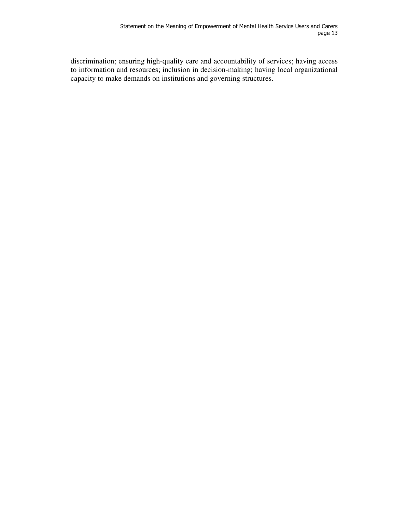discrimination; ensuring high-quality care and accountability of services; having access to information and resources; inclusion in decision-making; having local organizational capacity to make demands on institutions and governing structures.